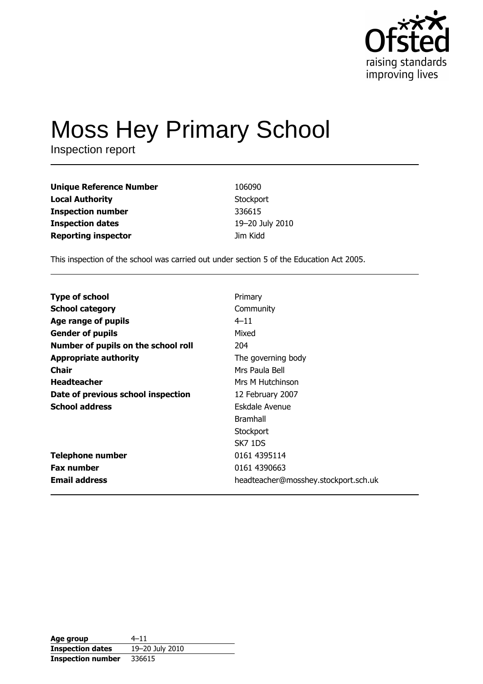

# **Moss Hey Primary School**

Inspection report

| <b>Unique Reference Number</b> | 106090          |
|--------------------------------|-----------------|
| <b>Local Authority</b>         | Stockport       |
| <b>Inspection number</b>       | 336615          |
| <b>Inspection dates</b>        | 19-20 July 2010 |
| <b>Reporting inspector</b>     | Jim Kidd        |

This inspection of the school was carried out under section 5 of the Education Act 2005.

| <b>Type of school</b>               | Primary                              |
|-------------------------------------|--------------------------------------|
| <b>School category</b>              | Community                            |
| Age range of pupils                 | $4 - 11$                             |
| <b>Gender of pupils</b>             | Mixed                                |
| Number of pupils on the school roll | 204                                  |
| <b>Appropriate authority</b>        | The governing body                   |
| <b>Chair</b>                        | Mrs Paula Bell                       |
| <b>Headteacher</b>                  | Mrs M Hutchinson                     |
| Date of previous school inspection  | 12 February 2007                     |
| <b>School address</b>               | Eskdale Avenue                       |
|                                     | <b>Bramhall</b>                      |
|                                     | Stockport                            |
|                                     | SK7 1DS                              |
| <b>Telephone number</b>             | 0161 4395114                         |
| <b>Fax number</b>                   | 0161 4390663                         |
| <b>Email address</b>                | headteacher@mosshey.stockport.sch.uk |

| Age group                | $4 - 11$        |
|--------------------------|-----------------|
| <b>Inspection dates</b>  | 19-20 July 2010 |
| <b>Inspection number</b> | 336615          |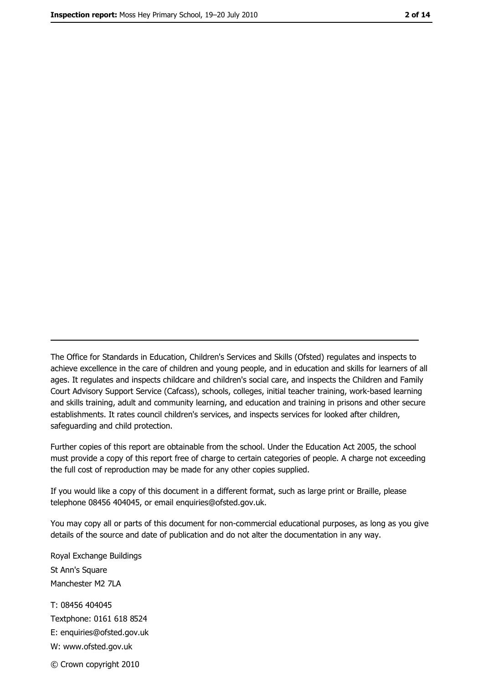The Office for Standards in Education, Children's Services and Skills (Ofsted) regulates and inspects to achieve excellence in the care of children and young people, and in education and skills for learners of all ages. It regulates and inspects childcare and children's social care, and inspects the Children and Family Court Advisory Support Service (Cafcass), schools, colleges, initial teacher training, work-based learning and skills training, adult and community learning, and education and training in prisons and other secure establishments. It rates council children's services, and inspects services for looked after children, safequarding and child protection.

Further copies of this report are obtainable from the school. Under the Education Act 2005, the school must provide a copy of this report free of charge to certain categories of people. A charge not exceeding the full cost of reproduction may be made for any other copies supplied.

If you would like a copy of this document in a different format, such as large print or Braille, please telephone 08456 404045, or email enquiries@ofsted.gov.uk.

You may copy all or parts of this document for non-commercial educational purposes, as long as you give details of the source and date of publication and do not alter the documentation in any way.

Royal Exchange Buildings St Ann's Square Manchester M2 7LA T: 08456 404045 Textphone: 0161 618 8524 E: enquiries@ofsted.gov.uk W: www.ofsted.gov.uk © Crown copyright 2010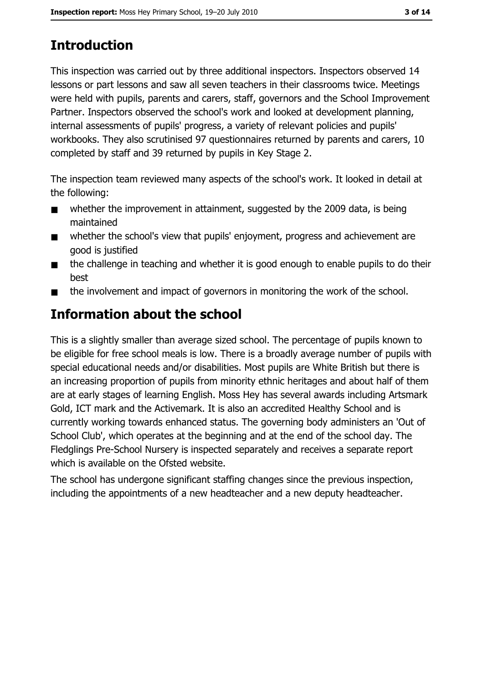# **Introduction**

This inspection was carried out by three additional inspectors. Inspectors observed 14 lessons or part lessons and saw all seven teachers in their classrooms twice. Meetings were held with pupils, parents and carers, staff, governors and the School Improvement Partner. Inspectors observed the school's work and looked at development planning, internal assessments of pupils' progress, a variety of relevant policies and pupils' workbooks. They also scrutinised 97 questionnaires returned by parents and carers, 10 completed by staff and 39 returned by pupils in Key Stage 2.

The inspection team reviewed many aspects of the school's work. It looked in detail at the following:

- whether the improvement in attainment, suggested by the 2009 data, is being  $\blacksquare$ maintained
- whether the school's view that pupils' enjoyment, progress and achievement are  $\blacksquare$ good is justified
- the challenge in teaching and whether it is good enough to enable pupils to do their  $\blacksquare$ best
- the involvement and impact of governors in monitoring the work of the school.  $\blacksquare$

# Information about the school

This is a slightly smaller than average sized school. The percentage of pupils known to be eligible for free school meals is low. There is a broadly average number of pupils with special educational needs and/or disabilities. Most pupils are White British but there is an increasing proportion of pupils from minority ethnic heritages and about half of them are at early stages of learning English. Moss Hey has several awards including Artsmark Gold, ICT mark and the Activemark. It is also an accredited Healthy School and is currently working towards enhanced status. The governing body administers an 'Out of School Club', which operates at the beginning and at the end of the school day. The Fledglings Pre-School Nursery is inspected separately and receives a separate report which is available on the Ofsted website.

The school has undergone significant staffing changes since the previous inspection, including the appointments of a new headteacher and a new deputy headteacher.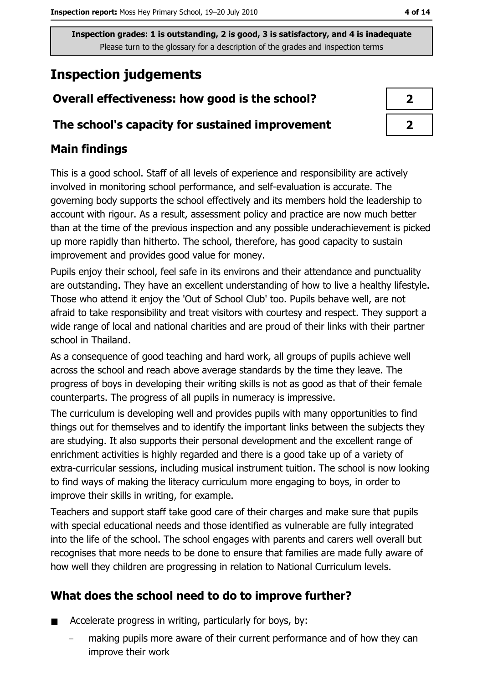# **Inspection judgements**

# Overall effectiveness: how good is the school?

## The school's capacity for sustained improvement

## **Main findings**

This is a good school. Staff of all levels of experience and responsibility are actively involved in monitoring school performance, and self-evaluation is accurate. The governing body supports the school effectively and its members hold the leadership to account with rigour. As a result, assessment policy and practice are now much better than at the time of the previous inspection and any possible underachievement is picked up more rapidly than hitherto. The school, therefore, has good capacity to sustain improvement and provides good value for money.

Pupils enjoy their school, feel safe in its environs and their attendance and punctuality are outstanding. They have an excellent understanding of how to live a healthy lifestyle. Those who attend it enjoy the 'Out of School Club' too. Pupils behave well, are not afraid to take responsibility and treat visitors with courtesy and respect. They support a wide range of local and national charities and are proud of their links with their partner school in Thailand.

As a consequence of good teaching and hard work, all groups of pupils achieve well across the school and reach above average standards by the time they leave. The progress of boys in developing their writing skills is not as good as that of their female counterparts. The progress of all pupils in numeracy is impressive.

The curriculum is developing well and provides pupils with many opportunities to find things out for themselves and to identify the important links between the subjects they are studying. It also supports their personal development and the excellent range of enrichment activities is highly regarded and there is a good take up of a variety of extra-curricular sessions, including musical instrument tuition. The school is now looking to find ways of making the literacy curriculum more engaging to boys, in order to improve their skills in writing, for example.

Teachers and support staff take good care of their charges and make sure that pupils with special educational needs and those identified as vulnerable are fully integrated into the life of the school. The school engages with parents and carers well overall but recognises that more needs to be done to ensure that families are made fully aware of how well they children are progressing in relation to National Curriculum levels.

# What does the school need to do to improve further?

- Accelerate progress in writing, particularly for boys, by:  $\blacksquare$ 
	- making pupils more aware of their current performance and of how they can improve their work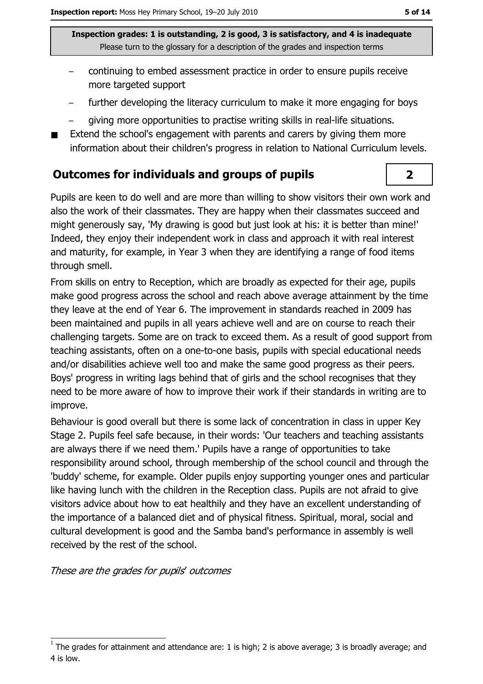- continuing to embed assessment practice in order to ensure pupils receive more targeted support
- further developing the literacy curriculum to make it more engaging for boys
- giving more opportunities to practise writing skills in real-life situations.
- Extend the school's engagement with parents and carers by giving them more information about their children's progress in relation to National Curriculum levels.

## **Outcomes for individuals and groups of pupils**

Pupils are keen to do well and are more than willing to show visitors their own work and also the work of their classmates. They are happy when their classmates succeed and might generously say, 'My drawing is good but just look at his: it is better than mine!' Indeed, they enjoy their independent work in class and approach it with real interest and maturity, for example, in Year 3 when they are identifying a range of food items through smell.

From skills on entry to Reception, which are broadly as expected for their age, pupils make good progress across the school and reach above average attainment by the time they leave at the end of Year 6. The improvement in standards reached in 2009 has been maintained and pupils in all years achieve well and are on course to reach their challenging targets. Some are on track to exceed them. As a result of good support from teaching assistants, often on a one-to-one basis, pupils with special educational needs and/or disabilities achieve well too and make the same good progress as their peers. Boys' progress in writing lags behind that of girls and the school recognises that they need to be more aware of how to improve their work if their standards in writing are to improve.

Behaviour is good overall but there is some lack of concentration in class in upper Key Stage 2. Pupils feel safe because, in their words: 'Our teachers and teaching assistants are always there if we need them.' Pupils have a range of opportunities to take responsibility around school, through membership of the school council and through the 'buddy' scheme, for example. Older pupils enjoy supporting younger ones and particular like having lunch with the children in the Reception class. Pupils are not afraid to give visitors advice about how to eat healthily and they have an excellent understanding of the importance of a balanced diet and of physical fitness. Spiritual, moral, social and cultural development is good and the Samba band's performance in assembly is well received by the rest of the school.

These are the grades for pupils' outcomes

 $\overline{2}$ 

The grades for attainment and attendance are: 1 is high; 2 is above average; 3 is broadly average; and 4 is low.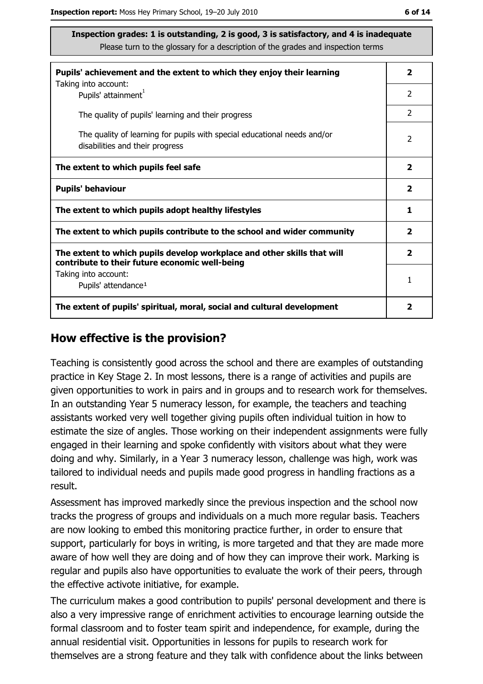| Pupils' achievement and the extent to which they enjoy their learning                                                     |                |
|---------------------------------------------------------------------------------------------------------------------------|----------------|
| Taking into account:<br>Pupils' attainment <sup>1</sup>                                                                   | 2              |
| The quality of pupils' learning and their progress                                                                        | 2              |
| The quality of learning for pupils with special educational needs and/or<br>disabilities and their progress               | $\overline{2}$ |
| The extent to which pupils feel safe                                                                                      |                |
| <b>Pupils' behaviour</b>                                                                                                  |                |
| The extent to which pupils adopt healthy lifestyles                                                                       |                |
| The extent to which pupils contribute to the school and wider community                                                   |                |
| The extent to which pupils develop workplace and other skills that will<br>contribute to their future economic well-being |                |
| Taking into account:<br>Pupils' attendance <sup>1</sup>                                                                   | 1              |
| The extent of pupils' spiritual, moral, social and cultural development                                                   |                |

#### How effective is the provision?

Teaching is consistently good across the school and there are examples of outstanding practice in Key Stage 2. In most lessons, there is a range of activities and pupils are given opportunities to work in pairs and in groups and to research work for themselves. In an outstanding Year 5 numeracy lesson, for example, the teachers and teaching assistants worked very well together giving pupils often individual tuition in how to estimate the size of angles. Those working on their independent assignments were fully engaged in their learning and spoke confidently with visitors about what they were doing and why. Similarly, in a Year 3 numeracy lesson, challenge was high, work was tailored to individual needs and pupils made good progress in handling fractions as a result.

Assessment has improved markedly since the previous inspection and the school now tracks the progress of groups and individuals on a much more regular basis. Teachers are now looking to embed this monitoring practice further, in order to ensure that support, particularly for boys in writing, is more targeted and that they are made more aware of how well they are doing and of how they can improve their work. Marking is regular and pupils also have opportunities to evaluate the work of their peers, through the effective activote initiative, for example.

The curriculum makes a good contribution to pupils' personal development and there is also a very impressive range of enrichment activities to encourage learning outside the formal classroom and to foster team spirit and independence, for example, during the annual residential visit. Opportunities in lessons for pupils to research work for themselves are a strong feature and they talk with confidence about the links between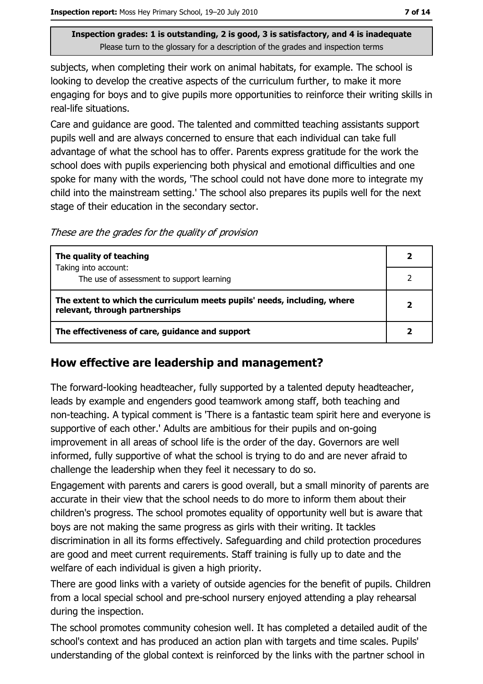subjects, when completing their work on animal habitats, for example. The school is looking to develop the creative aspects of the curriculum further, to make it more engaging for boys and to give pupils more opportunities to reinforce their writing skills in real-life situations.

Care and quidance are good. The talented and committed teaching assistants support pupils well and are always concerned to ensure that each individual can take full advantage of what the school has to offer. Parents express gratitude for the work the school does with pupils experiencing both physical and emotional difficulties and one spoke for many with the words, 'The school could not have done more to integrate my child into the mainstream setting.' The school also prepares its pupils well for the next stage of their education in the secondary sector.

These are the grades for the quality of provision

| The quality of teaching                                                                                    |  |
|------------------------------------------------------------------------------------------------------------|--|
| Taking into account:<br>The use of assessment to support learning                                          |  |
| The extent to which the curriculum meets pupils' needs, including, where<br>relevant, through partnerships |  |
| The effectiveness of care, guidance and support                                                            |  |

## How effective are leadership and management?

The forward-looking headteacher, fully supported by a talented deputy headteacher, leads by example and engenders good teamwork among staff, both teaching and non-teaching. A typical comment is 'There is a fantastic team spirit here and everyone is supportive of each other.' Adults are ambitious for their pupils and on-going improvement in all areas of school life is the order of the day. Governors are well informed, fully supportive of what the school is trying to do and are never afraid to challenge the leadership when they feel it necessary to do so.

Engagement with parents and carers is good overall, but a small minority of parents are accurate in their view that the school needs to do more to inform them about their children's progress. The school promotes equality of opportunity well but is aware that boys are not making the same progress as girls with their writing. It tackles discrimination in all its forms effectively. Safeguarding and child protection procedures are good and meet current requirements. Staff training is fully up to date and the welfare of each individual is given a high priority.

There are good links with a variety of outside agencies for the benefit of pupils. Children from a local special school and pre-school nursery enjoyed attending a play rehearsal during the inspection.

The school promotes community cohesion well. It has completed a detailed audit of the school's context and has produced an action plan with targets and time scales. Pupils' understanding of the global context is reinforced by the links with the partner school in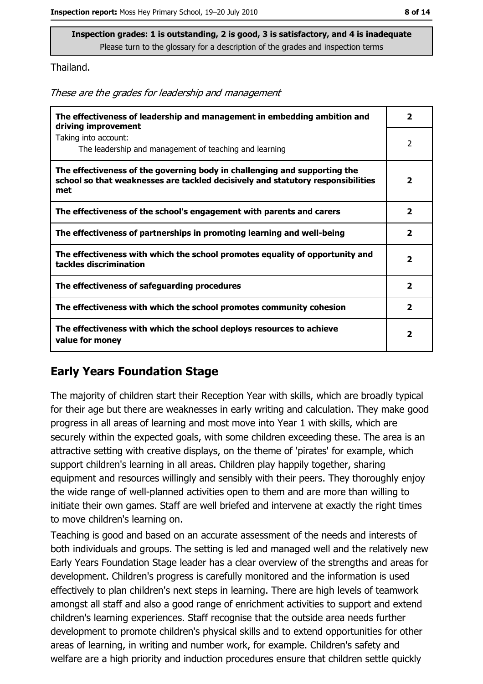Thailand.

These are the grades for leadership and management

| The effectiveness of leadership and management in embedding ambition and<br>driving improvement                                                                     | $\overline{\phantom{a}}$ |
|---------------------------------------------------------------------------------------------------------------------------------------------------------------------|--------------------------|
| Taking into account:<br>The leadership and management of teaching and learning                                                                                      | 2                        |
| The effectiveness of the governing body in challenging and supporting the<br>school so that weaknesses are tackled decisively and statutory responsibilities<br>met | $\overline{2}$           |
| The effectiveness of the school's engagement with parents and carers                                                                                                | $\overline{2}$           |
| The effectiveness of partnerships in promoting learning and well-being                                                                                              | $\overline{2}$           |
| The effectiveness with which the school promotes equality of opportunity and<br>tackles discrimination                                                              | $\overline{\mathbf{2}}$  |
| The effectiveness of safeguarding procedures                                                                                                                        | $\overline{\mathbf{2}}$  |
| The effectiveness with which the school promotes community cohesion                                                                                                 | $\overline{2}$           |
| The effectiveness with which the school deploys resources to achieve<br>value for money                                                                             | $\overline{\mathbf{2}}$  |

#### **Early Years Foundation Stage**

The majority of children start their Reception Year with skills, which are broadly typical for their age but there are weaknesses in early writing and calculation. They make good progress in all areas of learning and most move into Year 1 with skills, which are securely within the expected goals, with some children exceeding these. The area is an attractive setting with creative displays, on the theme of 'pirates' for example, which support children's learning in all areas. Children play happily together, sharing equipment and resources willingly and sensibly with their peers. They thoroughly enjoy the wide range of well-planned activities open to them and are more than willing to initiate their own games. Staff are well briefed and intervene at exactly the right times to move children's learning on.

Teaching is good and based on an accurate assessment of the needs and interests of both individuals and groups. The setting is led and managed well and the relatively new Early Years Foundation Stage leader has a clear overview of the strengths and areas for development. Children's progress is carefully monitored and the information is used effectively to plan children's next steps in learning. There are high levels of teamwork amongst all staff and also a good range of enrichment activities to support and extend children's learning experiences. Staff recognise that the outside area needs further development to promote children's physical skills and to extend opportunities for other areas of learning, in writing and number work, for example. Children's safety and welfare are a high priority and induction procedures ensure that children settle quickly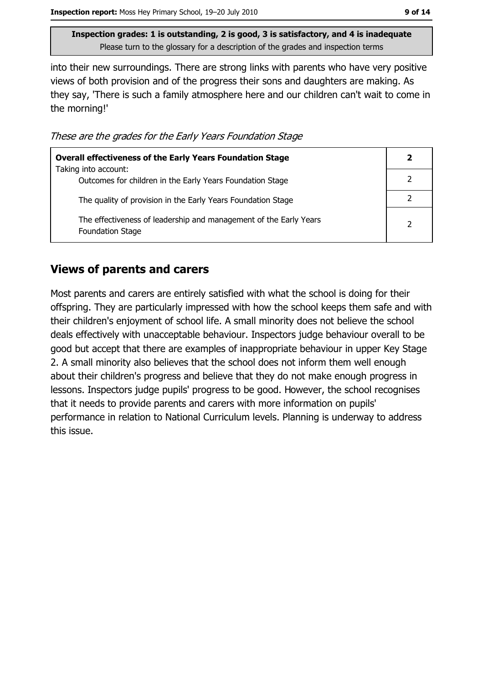into their new surroundings. There are strong links with parents who have very positive views of both provision and of the progress their sons and daughters are making. As they say, 'There is such a family atmosphere here and our children can't wait to come in the morning!'

These are the grades for the Early Years Foundation Stage

| <b>Overall effectiveness of the Early Years Foundation Stage</b>                             |  |
|----------------------------------------------------------------------------------------------|--|
| Taking into account:<br>Outcomes for children in the Early Years Foundation Stage            |  |
| The quality of provision in the Early Years Foundation Stage                                 |  |
| The effectiveness of leadership and management of the Early Years<br><b>Foundation Stage</b> |  |

## **Views of parents and carers**

Most parents and carers are entirely satisfied with what the school is doing for their offspring. They are particularly impressed with how the school keeps them safe and with their children's enjoyment of school life. A small minority does not believe the school deals effectively with unacceptable behaviour. Inspectors judge behaviour overall to be good but accept that there are examples of inappropriate behaviour in upper Key Stage 2. A small minority also believes that the school does not inform them well enough about their children's progress and believe that they do not make enough progress in lessons. Inspectors judge pupils' progress to be good. However, the school recognises that it needs to provide parents and carers with more information on pupils' performance in relation to National Curriculum levels. Planning is underway to address this issue.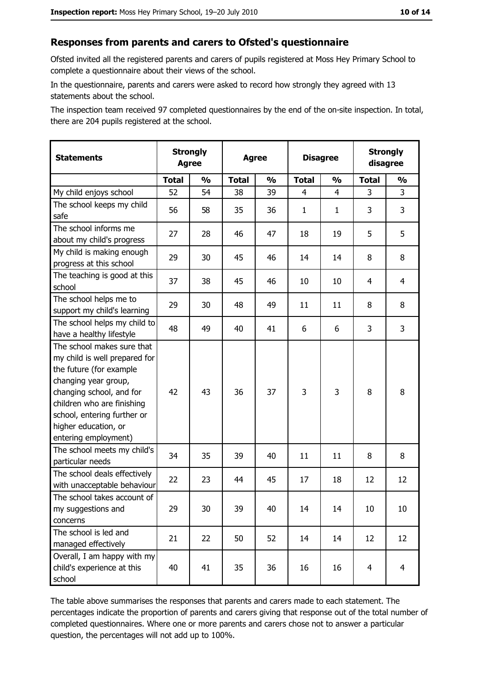#### Responses from parents and carers to Ofsted's questionnaire

Ofsted invited all the registered parents and carers of pupils registered at Moss Hey Primary School to complete a questionnaire about their views of the school.

In the questionnaire, parents and carers were asked to record how strongly they agreed with 13 statements about the school.

The inspection team received 97 completed questionnaires by the end of the on-site inspection. In total, there are 204 pupils registered at the school.

| <b>Statements</b>                                                                                                                                                                                                                                       | <b>Strongly</b><br><b>Agree</b> |               | <b>Agree</b> |               |                | <b>Disagree</b> |                | <b>Strongly</b><br>disagree |  |
|---------------------------------------------------------------------------------------------------------------------------------------------------------------------------------------------------------------------------------------------------------|---------------------------------|---------------|--------------|---------------|----------------|-----------------|----------------|-----------------------------|--|
|                                                                                                                                                                                                                                                         | <b>Total</b>                    | $\frac{0}{0}$ | <b>Total</b> | $\frac{0}{0}$ | <b>Total</b>   | $\frac{0}{0}$   | <b>Total</b>   | $\frac{0}{0}$               |  |
| My child enjoys school                                                                                                                                                                                                                                  | 52                              | 54            | 38           | 39            | $\overline{4}$ | $\overline{4}$  | 3              | 3                           |  |
| The school keeps my child<br>safe                                                                                                                                                                                                                       | 56                              | 58            | 35           | 36            | $\mathbf{1}$   | 1               | 3              | 3                           |  |
| The school informs me<br>about my child's progress                                                                                                                                                                                                      | 27                              | 28            | 46           | 47            | 18             | 19              | 5              | 5                           |  |
| My child is making enough<br>progress at this school                                                                                                                                                                                                    | 29                              | 30            | 45           | 46            | 14             | 14              | 8              | 8                           |  |
| The teaching is good at this<br>school                                                                                                                                                                                                                  | 37                              | 38            | 45           | 46            | 10             | 10              | 4              | $\overline{4}$              |  |
| The school helps me to<br>support my child's learning                                                                                                                                                                                                   | 29                              | 30            | 48           | 49            | 11             | 11              | 8              | 8                           |  |
| The school helps my child to<br>have a healthy lifestyle                                                                                                                                                                                                | 48                              | 49            | 40           | 41            | 6              | 6               | 3              | 3                           |  |
| The school makes sure that<br>my child is well prepared for<br>the future (for example<br>changing year group,<br>changing school, and for<br>children who are finishing<br>school, entering further or<br>higher education, or<br>entering employment) | 42                              | 43            | 36           | 37            | 3              | 3               | 8              | 8                           |  |
| The school meets my child's<br>particular needs                                                                                                                                                                                                         | 34                              | 35            | 39           | 40            | 11             | 11              | 8              | 8                           |  |
| The school deals effectively<br>with unacceptable behaviour                                                                                                                                                                                             | 22                              | 23            | 44           | 45            | 17             | 18              | 12             | 12                          |  |
| The school takes account of<br>my suggestions and<br>concerns                                                                                                                                                                                           | 29                              | 30            | 39           | 40            | 14             | 14              | 10             | 10                          |  |
| The school is led and<br>managed effectively                                                                                                                                                                                                            | 21                              | 22            | 50           | 52            | 14             | 14              | 12             | 12                          |  |
| Overall, I am happy with my<br>child's experience at this<br>school                                                                                                                                                                                     | 40                              | 41            | 35           | 36            | 16             | 16              | $\overline{4}$ | $\overline{4}$              |  |

The table above summarises the responses that parents and carers made to each statement. The percentages indicate the proportion of parents and carers giving that response out of the total number of completed questionnaires. Where one or more parents and carers chose not to answer a particular question, the percentages will not add up to 100%.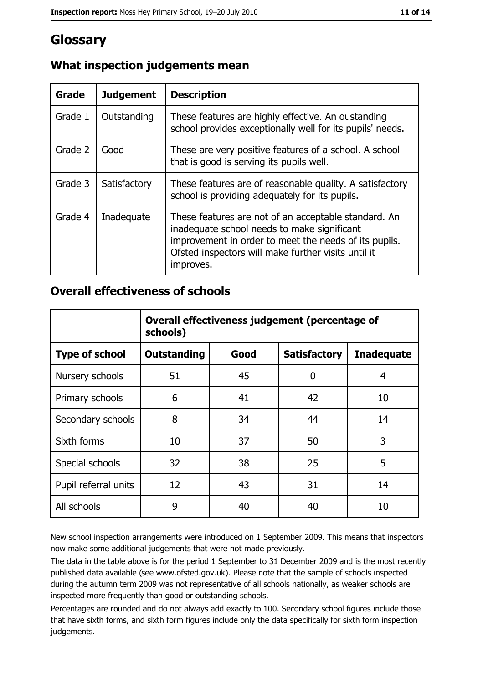# **Glossary**

| Grade   | <b>Judgement</b> | <b>Description</b>                                                                                                                                                                                                               |
|---------|------------------|----------------------------------------------------------------------------------------------------------------------------------------------------------------------------------------------------------------------------------|
| Grade 1 | Outstanding      | These features are highly effective. An oustanding<br>school provides exceptionally well for its pupils' needs.                                                                                                                  |
| Grade 2 | Good             | These are very positive features of a school. A school<br>that is good is serving its pupils well.                                                                                                                               |
| Grade 3 | Satisfactory     | These features are of reasonable quality. A satisfactory<br>school is providing adequately for its pupils.                                                                                                                       |
| Grade 4 | Inadequate       | These features are not of an acceptable standard. An<br>inadequate school needs to make significant<br>improvement in order to meet the needs of its pupils.<br>Ofsted inspectors will make further visits until it<br>improves. |

# What inspection judgements mean

## **Overall effectiveness of schools**

|                       | Overall effectiveness judgement (percentage of<br>schools) |      |                     |                   |
|-----------------------|------------------------------------------------------------|------|---------------------|-------------------|
| <b>Type of school</b> | <b>Outstanding</b>                                         | Good | <b>Satisfactory</b> | <b>Inadequate</b> |
| Nursery schools       | 51                                                         | 45   | 0                   | 4                 |
| Primary schools       | 6                                                          | 41   | 42                  | 10                |
| Secondary schools     | 8                                                          | 34   | 44                  | 14                |
| Sixth forms           | 10                                                         | 37   | 50                  | 3                 |
| Special schools       | 32                                                         | 38   | 25                  | 5                 |
| Pupil referral units  | 12                                                         | 43   | 31                  | 14                |
| All schools           | 9                                                          | 40   | 40                  | 10                |

New school inspection arrangements were introduced on 1 September 2009. This means that inspectors now make some additional judgements that were not made previously.

The data in the table above is for the period 1 September to 31 December 2009 and is the most recently published data available (see www.ofsted.gov.uk). Please note that the sample of schools inspected during the autumn term 2009 was not representative of all schools nationally, as weaker schools are inspected more frequently than good or outstanding schools.

Percentages are rounded and do not always add exactly to 100. Secondary school figures include those that have sixth forms, and sixth form figures include only the data specifically for sixth form inspection judgements.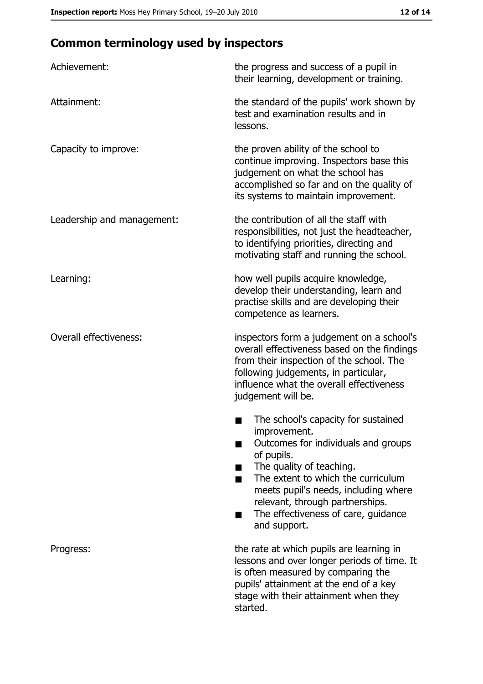# **Common terminology used by inspectors**

| Achievement:                  | the progress and success of a pupil in<br>their learning, development or training.                                                                                                                                                                                                                           |
|-------------------------------|--------------------------------------------------------------------------------------------------------------------------------------------------------------------------------------------------------------------------------------------------------------------------------------------------------------|
| Attainment:                   | the standard of the pupils' work shown by<br>test and examination results and in<br>lessons.                                                                                                                                                                                                                 |
| Capacity to improve:          | the proven ability of the school to<br>continue improving. Inspectors base this<br>judgement on what the school has<br>accomplished so far and on the quality of<br>its systems to maintain improvement.                                                                                                     |
| Leadership and management:    | the contribution of all the staff with<br>responsibilities, not just the headteacher,<br>to identifying priorities, directing and<br>motivating staff and running the school.                                                                                                                                |
| Learning:                     | how well pupils acquire knowledge,<br>develop their understanding, learn and<br>practise skills and are developing their<br>competence as learners.                                                                                                                                                          |
| <b>Overall effectiveness:</b> | inspectors form a judgement on a school's<br>overall effectiveness based on the findings<br>from their inspection of the school. The<br>following judgements, in particular,<br>influence what the overall effectiveness<br>judgement will be.                                                               |
|                               | The school's capacity for sustained<br>improvement.<br>Outcomes for individuals and groups<br>of pupils.<br>The quality of teaching.<br>The extent to which the curriculum<br>meets pupil's needs, including where<br>relevant, through partnerships.<br>The effectiveness of care, guidance<br>and support. |
| Progress:                     | the rate at which pupils are learning in<br>lessons and over longer periods of time. It<br>is often measured by comparing the<br>pupils' attainment at the end of a key<br>stage with their attainment when they<br>started.                                                                                 |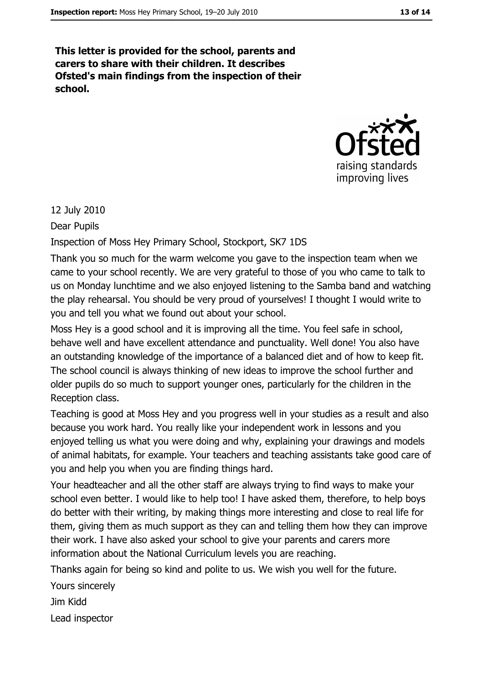This letter is provided for the school, parents and carers to share with their children. It describes Ofsted's main findings from the inspection of their school.



12 July 2010

Dear Pupils

Inspection of Moss Hey Primary School, Stockport, SK7 1DS

Thank you so much for the warm welcome you gave to the inspection team when we came to your school recently. We are very grateful to those of you who came to talk to us on Monday lunchtime and we also enjoyed listening to the Samba band and watching the play rehearsal. You should be very proud of yourselves! I thought I would write to you and tell you what we found out about your school.

Moss Hey is a good school and it is improving all the time. You feel safe in school, behave well and have excellent attendance and punctuality. Well done! You also have an outstanding knowledge of the importance of a balanced diet and of how to keep fit. The school council is always thinking of new ideas to improve the school further and older pupils do so much to support younger ones, particularly for the children in the Reception class.

Teaching is good at Moss Hey and you progress well in your studies as a result and also because you work hard. You really like your independent work in lessons and you enjoyed telling us what you were doing and why, explaining your drawings and models of animal habitats, for example. Your teachers and teaching assistants take good care of you and help you when you are finding things hard.

Your headteacher and all the other staff are always trying to find ways to make your school even better. I would like to help too! I have asked them, therefore, to help boys do better with their writing, by making things more interesting and close to real life for them, giving them as much support as they can and telling them how they can improve their work. I have also asked your school to give your parents and carers more information about the National Curriculum levels you are reaching.

Thanks again for being so kind and polite to us. We wish you well for the future.

Yours sincerely

**Jim Kidd** 

Lead inspector